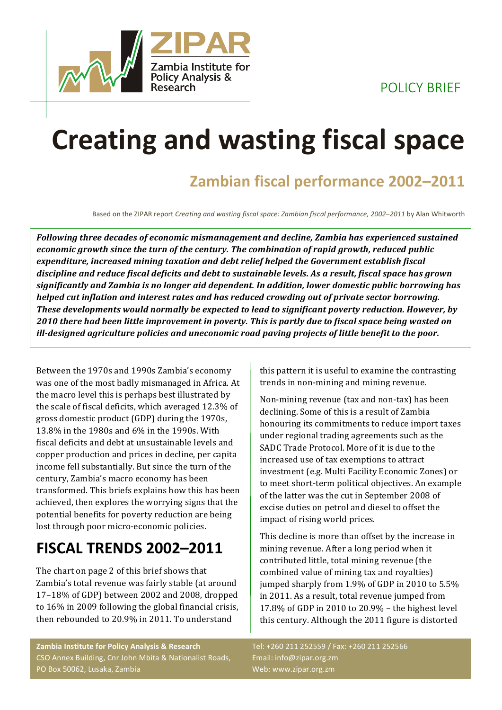POLICY BRIEF



# **Creating and wasting fiscal space**

### **Zambian fiscal performance 2002–2011**

Based on the ZIPAR report *Creating and wasting fiscal space: Zambian fiscal performance, 2002–2011* by Alan Whitworth

Following three decades of economic mismanagement and decline, Zambia has experienced sustained *economic growth since the turn of the century. The combination of rapid growth, reduced public* expenditure, increased mining taxation and debt relief helped the Government establish fiscal discipline and reduce fiscal deficits and debt to sustainable levels. As a result, fiscal space has grown significantly and Zambia is no longer aid dependent. In addition, lower domestic public borrowing has *helped cut inflation and interest rates and has reduced crowding out of private sector borrowing.* **These developments would normally be expected to lead to significant poverty reduction. However, by** 2010 there had been little improvement in poverty. This is partly due to fiscal space being wasted on *ill-designed agriculture policies and uneconomic road paving projects of little benefit to the poor.* 

Between the 1970s and 1990s Zambia's economy was one of the most badly mismanaged in Africa. At the macro level this is perhaps best illustrated by the scale of fiscal deficits, which averaged 12.3% of gross domestic product (GDP) during the 1970s, 13.8% in the 1980s and 6% in the 1990s. With fiscal deficits and debt at unsustainable levels and copper production and prices in decline, per capita income fell substantially. But since the turn of the century, Zambia's macro economy has been transformed. This briefs explains how this has been achieved, then explores the worrying signs that the potential benefits for poverty reduction are being lost through poor micro-economic policies.

### **FISCAL TRENDS 2002–2011**

The chart on page 2 of this brief shows that Zambia's total revenue was fairly stable (at around  $17-18\%$  of GDP) between 2002 and 2008, dropped to 16% in 2009 following the global financial crisis, then rebounded to 20.9% in 2011. To understand

this pattern it is useful to examine the contrasting trends in non-mining and mining revenue.

Non-mining revenue (tax and non-tax) has been declining. Some of this is a result of Zambia honouring its commitments to reduce import taxes under regional trading agreements such as the SADC Trade Protocol. More of it is due to the increased use of tax exemptions to attract investment (e.g. Multi Facility Economic Zones) or to meet short-term political objectives. An example of the latter was the cut in September 2008 of excise duties on petrol and diesel to offset the impact of rising world prices.

This decline is more than offset by the increase in mining revenue. After a long period when it contributed little, total mining revenue (the combined value of mining tax and royalties) jumped sharply from 1.9% of GDP in 2010 to 5.5% in 2011. As a result, total revenue jumped from 17.8% of GDP in 2010 to 20.9%  $-$  the highest level this century. Although the 2011 figure is distorted

**Zambia Institute for Policy Analysis & Research** CSO Annex Building, Cnr John Mbita & Nationalist Roads, PO Box 50062, Lusaka, Zambia

Tel: +260 211 252559 / Fax: +260 211 252566 Email: info@zipar.org.zm Web: www.zipar.org.zm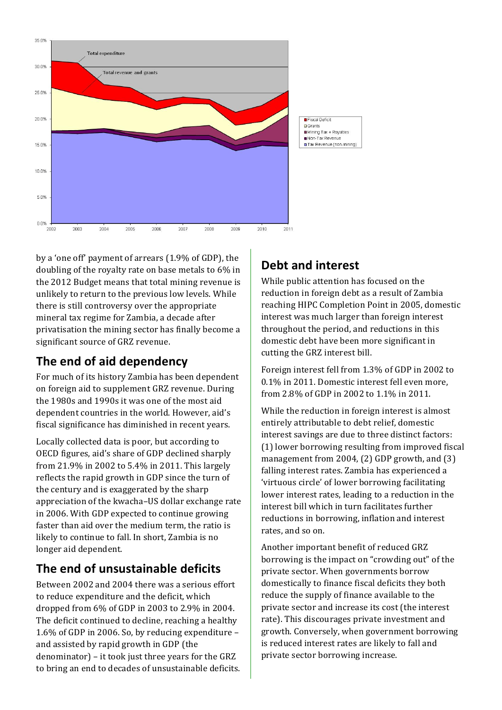

by a 'one off' payment of arrears (1.9% of GDP), the doubling of the royalty rate on base metals to 6% in the 2012 Budget means that total mining revenue is unlikely to return to the previous low levels. While there is still controversy over the appropriate mineral tax regime for Zambia, a decade after privatisation the mining sector has finally become a significant source of GRZ revenue.

### **The end of aid dependency**

For much of its history Zambia has been dependent on foreign aid to supplement GRZ revenue. During the 1980s and 1990s it was one of the most aid dependent countries in the world. However, aid's fiscal significance has diminished in recent years.

Locally collected data is poor, but according to OECD figures, aid's share of GDP declined sharply from  $21.9\%$  in  $2002$  to  $5.4\%$  in 2011. This largely reflects the rapid growth in GDP since the turn of the century and is exaggerated by the sharp appreciation of the kwacha–US dollar exchange rate in 2006. With GDP expected to continue growing faster than aid over the medium term, the ratio is likely to continue to fall. In short, Zambia is no longer aid dependent.

### **The end of unsustainable deficits**

Between 2002 and 2004 there was a serious effort to reduce expenditure and the deficit, which dropped from  $6\%$  of GDP in 2003 to 2.9% in 2004. The deficit continued to decline, reaching a healthy 1.6% of GDP in 2006. So, by reducing expenditure  $$ and assisted by rapid growth in GDP (the denominator) – it took just three years for the GRZ to bring an end to decades of unsustainable deficits.

### **Debt and interest**

While public attention has focused on the reduction in foreign debt as a result of Zambia reaching HIPC Completion Point in 2005, domestic interest was much larger than foreign interest throughout the period, and reductions in this domestic debt have been more significant in cutting the GRZ interest bill.

Foreign interest fell from 1.3% of GDP in 2002 to 0.1% in 2011. Domestic interest fell even more, from 2.8% of GDP in 2002 to 1.1% in 2011.

While the reduction in foreign interest is almost entirely attributable to debt relief, domestic interest savings are due to three distinct factors: (1) lower borrowing resulting from improved fiscal management from 2004,  $(2)$  GDP growth, and  $(3)$ falling interest rates. Zambia has experienced a 'virtuous circle' of lower borrowing facilitating lower interest rates, leading to a reduction in the interest bill which in turn facilitates further reductions in borrowing, inflation and interest rates, and so on.

Another important benefit of reduced GRZ borrowing is the impact on "crowding out" of the private sector. When governments borrow domestically to finance fiscal deficits they both reduce the supply of finance available to the private sector and increase its cost (the interest rate). This discourages private investment and growth. Conversely, when government borrowing is reduced interest rates are likely to fall and private sector borrowing increase.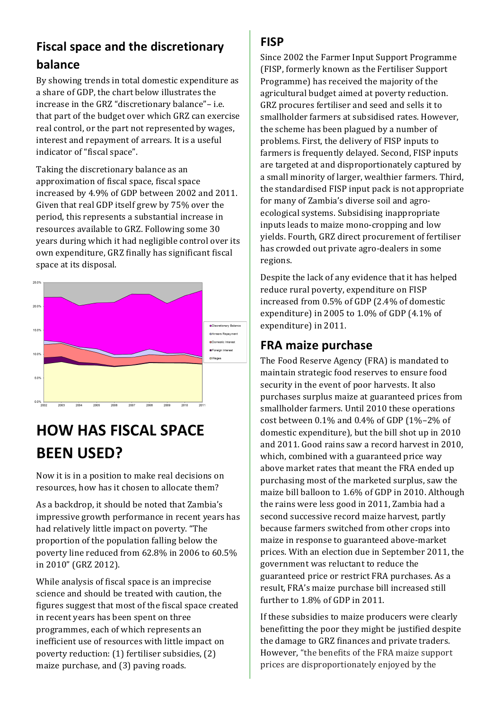### **Fiscal space and the discretionary balance**

By showing trends in total domestic expenditure as a share of GDP, the chart below illustrates the increase in the GRZ "discretionary balance"- i.e. that part of the budget over which GRZ can exercise real control, or the part not represented by wages, interest and repayment of arrears. It is a useful indicator of "fiscal space".

Taking the discretionary balance as an approximation of fiscal space, fiscal space increased by 4.9% of GDP between 2002 and 2011. Given that real GDP itself grew by 75% over the period, this represents a substantial increase in resources available to GRZ. Following some 30 years during which it had negligible control over its own expenditure, GRZ finally has significant fiscal space at its disposal.



# **HOW HAS FISCAL SPACE BEEN USED?**

Now it is in a position to make real decisions on resources, how has it chosen to allocate them?

As a backdrop, it should be noted that Zambia's impressive growth performance in recent years has had relatively little impact on poverty. "The proportion of the population falling below the poverty line reduced from 62.8% in 2006 to 60.5% in 2010" (GRZ 2012).

While analysis of fiscal space is an imprecise science and should be treated with caution, the figures suggest that most of the fiscal space created in recent years has been spent on three programmes, each of which represents an inefficient use of resources with little impact on poverty reduction:  $(1)$  fertiliser subsidies,  $(2)$ maize purchase, and (3) paving roads.

#### **FISP**

Since 2002 the Farmer Input Support Programme (FISP, formerly known as the Fertiliser Support Programme) has received the majority of the agricultural budget aimed at poverty reduction. GRZ procures fertiliser and seed and sells it to smallholder farmers at subsidised rates. However, the scheme has been plagued by a number of problems. First, the delivery of FISP inputs to farmers is frequently delayed. Second, FISP inputs are targeted at and disproportionately captured by a small minority of larger, wealthier farmers. Third, the standardised FISP input pack is not appropriate for many of Zambia's diverse soil and agroecological systems. Subsidising inappropriate inputs leads to maize mono-cropping and low yields. Fourth, GRZ direct procurement of fertiliser has crowded out private agro-dealers in some regions.

Despite the lack of any evidence that it has helped reduce rural poverty, expenditure on FISP increased from 0.5% of GDP (2.4% of domestic expenditure) in 2005 to  $1.0\%$  of GDP (4.1% of expenditure) in 2011.

### **FRA maize purchase**

The Food Reserve Agency (FRA) is mandated to maintain strategic food reserves to ensure food security in the event of poor harvests. It also purchases surplus maize at guaranteed prices from smallholder farmers. Until 2010 these operations cost between  $0.1\%$  and  $0.4\%$  of GDP ( $1\%$ –2% of domestic expenditure), but the bill shot up in 2010 and 2011. Good rains saw a record harvest in 2010, which, combined with a guaranteed price way above market rates that meant the FRA ended up purchasing most of the marketed surplus, saw the maize bill balloon to 1.6% of GDP in 2010. Although the rains were less good in 2011, Zambia had a second successive record maize harvest, partly because farmers switched from other crops into maize in response to guaranteed above-market prices. With an election due in September 2011, the government was reluctant to reduce the guaranteed price or restrict FRA purchases. As a result, FRA's maize purchase bill increased still further to 1.8% of GDP in 2011.

If these subsidies to maize producers were clearly benefitting the poor they might be justified despite the damage to GRZ finances and private traders. However, "the benefits of the FRA maize support prices are disproportionately enjoyed by the